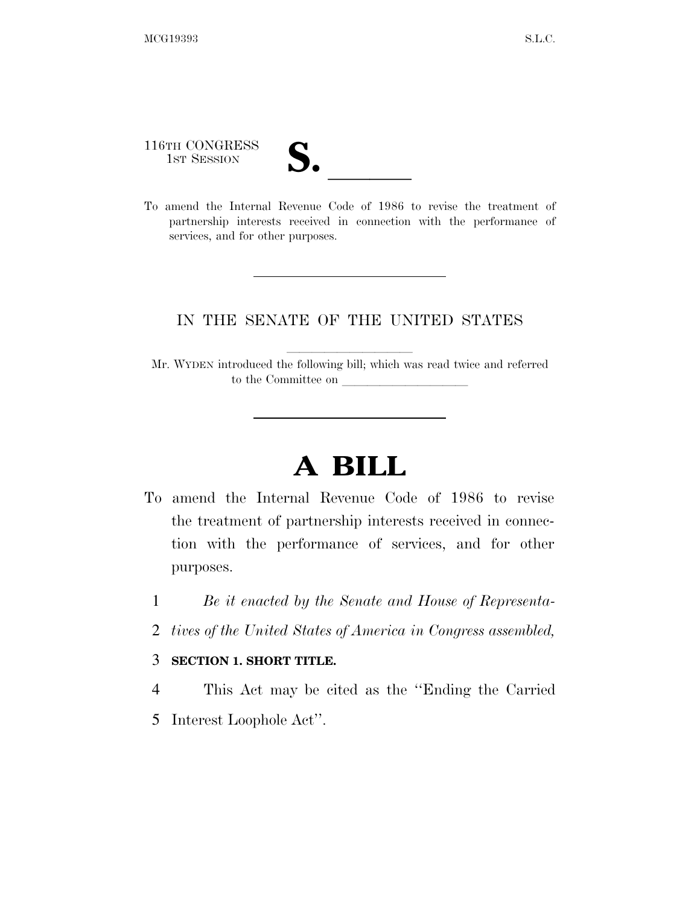116TH CONGRESS

116TH CONGRESS<br>
1ST SESSION<br>
To amend the Internal Revenue Code of 1986 to revise the treatment of partnership interests received in connection with the performance of services, and for other purposes.

### IN THE SENATE OF THE UNITED STATES

Mr. WYDEN introduced the following bill; which was read twice and referred to the Committee on

# **A BILL**

- To amend the Internal Revenue Code of 1986 to revise the treatment of partnership interests received in connection with the performance of services, and for other purposes.
	- 1 *Be it enacted by the Senate and House of Representa-*
	- 2 *tives of the United States of America in Congress assembled,*

#### 3 **SECTION 1. SHORT TITLE.**

4 This Act may be cited as the ''Ending the Carried 5 Interest Loophole Act''.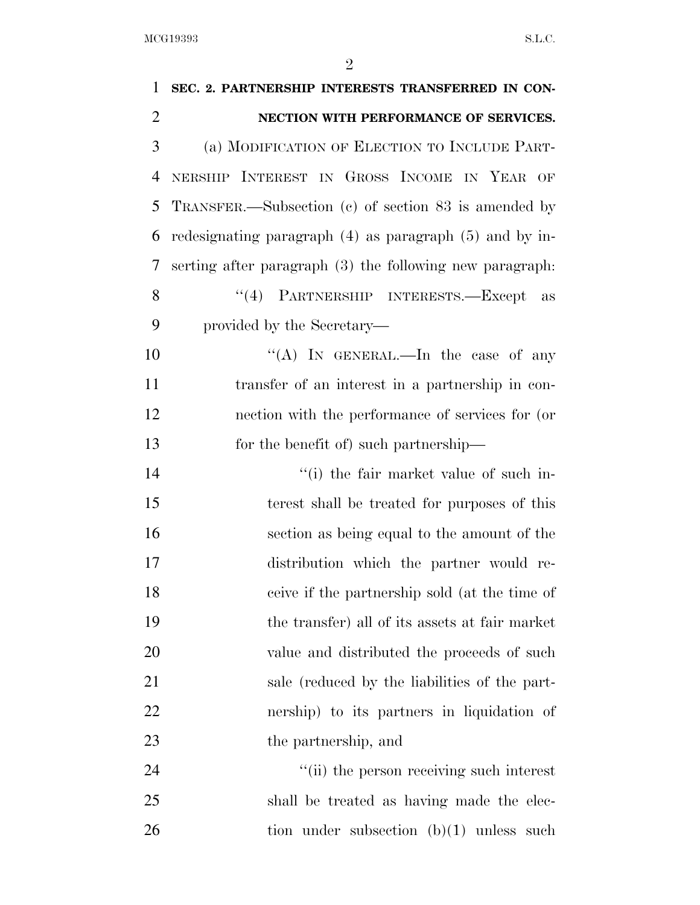| 1              | SEC. 2. PARTNERSHIP INTERESTS TRANSFERRED IN CON-           |
|----------------|-------------------------------------------------------------|
| $\overline{2}$ | NECTION WITH PERFORMANCE OF SERVICES.                       |
| 3              | (a) MODIFICATION OF ELECTION TO INCLUDE PART-               |
| 4              | NERSHIP INTEREST IN GROSS INCOME IN YEAR OF                 |
| 5              | TRANSFER.—Subsection (c) of section 83 is amended by        |
| 6              | redesignating paragraph $(4)$ as paragraph $(5)$ and by in- |
| 7              | serting after paragraph (3) the following new paragraph.    |
| 8              | "(4) PARTNERSHIP INTERESTS.—Except as                       |
| 9              | provided by the Secretary—                                  |
| 10             | "(A) IN GENERAL.—In the case of any                         |
| 11             | transfer of an interest in a partnership in con-            |
| 12             | nection with the performance of services for (or            |
| 13             | for the benefit of) such partnership—                       |
| 14             | "(i) the fair market value of such in-                      |
| 15             | terest shall be treated for purposes of this                |
| 16             | section as being equal to the amount of the                 |
| 17             | distribution which the partner would re-                    |
| 18             | ceive if the partnership sold (at the time of               |
| 19             | the transfer) all of its assets at fair market              |
| 20             | value and distributed the proceeds of such                  |
| 21             | sale (reduced by the liabilities of the part-               |
| 22             | nership) to its partners in liquidation of                  |
| 23             | the partnership, and                                        |
| 24             | "(ii) the person receiving such interest                    |
| 25             | shall be treated as having made the elec-                   |
| 26             | tion under subsection $(b)(1)$ unless such                  |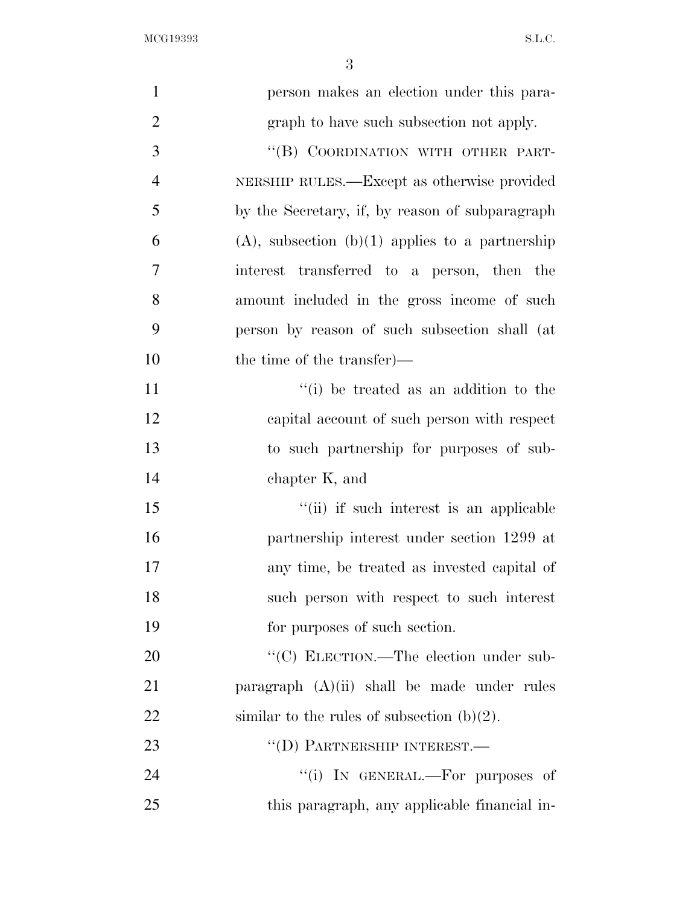| $\mathbf{1}$   |                                                      |
|----------------|------------------------------------------------------|
|                | person makes an election under this para-            |
| $\overline{2}$ | graph to have such subsection not apply.             |
| 3              | "(B) COORDINATION WITH OTHER PART-                   |
| $\overline{4}$ | NERSHIP RULES.—Except as otherwise provided          |
| 5              | by the Secretary, if, by reason of subparagraph      |
| 6              | $(A)$ , subsection $(b)(1)$ applies to a partnership |
| 7              | interest transferred to a person, then the           |
| 8              | amount included in the gross income of such          |
| 9              | person by reason of such subsection shall (at        |
| 10             | the time of the transfer)—                           |
| 11             | "(i) be treated as an addition to the                |
| 12             | capital account of such person with respect          |
| 13             | to such partnership for purposes of sub-             |
| 14             | chapter K, and                                       |
| 15             | "(ii) if such interest is an applicable              |
| 16             | partnership interest under section 1299 at           |
| 17             | any time, be treated as invested capital of          |
| 18             | such person with respect to such interest            |
| 19             | for purposes of such section.                        |
| 20             | "(C) ELECTION.—The election under sub-               |
| 21             | paragraph $(A)(ii)$ shall be made under rules        |
| 22             | similar to the rules of subsection $(b)(2)$ .        |
| 23             | $``$ (D) PARTNERSHIP INTEREST.—                      |
| 24             | "(i) IN GENERAL.—For purposes of                     |
| 25             | this paragraph, any applicable financial in-         |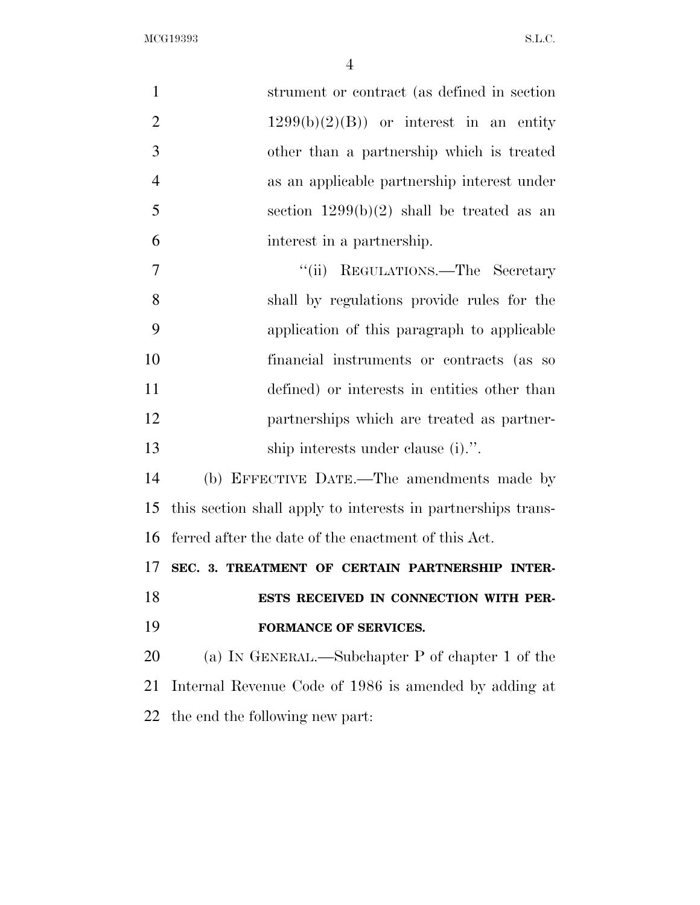| $\mathbf{1}$   | strument or contract (as defined in section                  |
|----------------|--------------------------------------------------------------|
| $\overline{2}$ | $1299(b)(2)(B)$ or interest in an entity                     |
| 3              | other than a partnership which is treated                    |
| $\overline{4}$ | as an applicable partnership interest under                  |
| 5              | section $1299(b)(2)$ shall be treated as an                  |
| 6              | interest in a partnership.                                   |
| $\overline{7}$ | REGULATIONS.—The Secretary<br>``(ii)                         |
| 8              | shall by regulations provide rules for the                   |
| 9              | application of this paragraph to applicable                  |
| 10             | financial instruments or contracts (as so                    |
| 11             | defined) or interests in entities other than                 |
| 12             | partnerships which are treated as partner-                   |
| 13             | ship interests under clause (i).".                           |
| 14             | (b) EFFECTIVE DATE.—The amendments made by                   |
| 15             | this section shall apply to interests in partnerships trans- |
| 16             | ferred after the date of the enactment of this Act.          |
| 17             | SEC. 3. TREATMENT OF CERTAIN PARTNERSHIP INTER-              |
| 18             | ESTS RECEIVED IN CONNECTION WITH PER-                        |
| 19             | FORMANCE OF SERVICES.                                        |
| 20             | (a) IN GENERAL.—Subchapter P of chapter 1 of the             |
| 21             | Internal Revenue Code of 1986 is amended by adding at        |
| 22             | the end the following new part:                              |
|                |                                                              |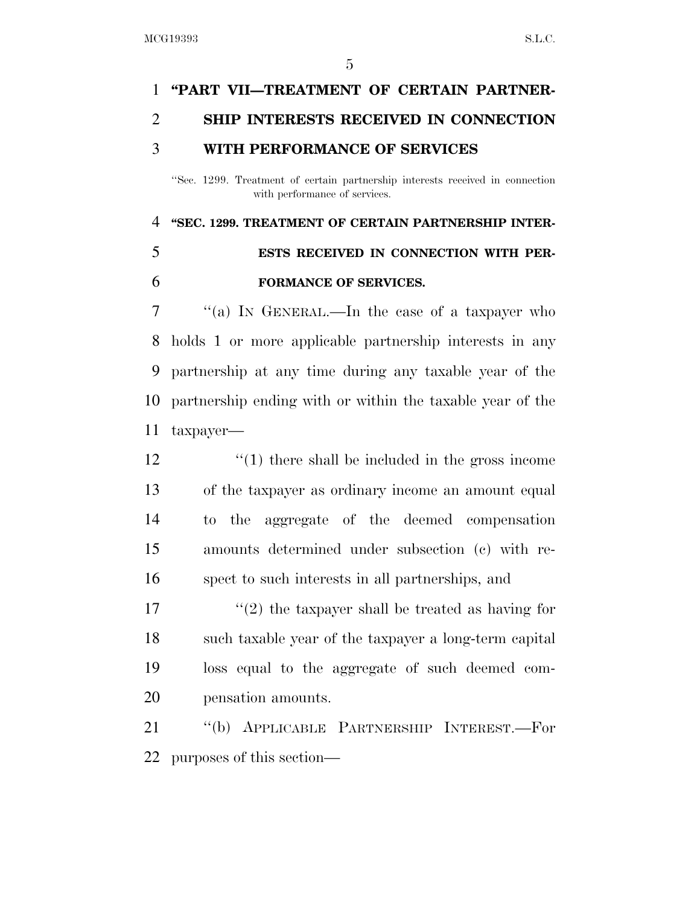## **''PART VII—TREATMENT OF CERTAIN PARTNER- SHIP INTERESTS RECEIVED IN CONNECTION WITH PERFORMANCE OF SERVICES**

''Sec. 1299. Treatment of certain partnership interests received in connection with performance of services.

### **''SEC. 1299. TREATMENT OF CERTAIN PARTNERSHIP INTER-**

### **ESTS RECEIVED IN CONNECTION WITH PER-FORMANCE OF SERVICES.**

 ''(a) IN GENERAL.—In the case of a taxpayer who holds 1 or more applicable partnership interests in any partnership at any time during any taxable year of the partnership ending with or within the taxable year of the taxpayer—

12 ''(1) there shall be included in the gross income of the taxpayer as ordinary income an amount equal to the aggregate of the deemed compensation amounts determined under subsection (c) with re-spect to such interests in all partnerships, and

 $\frac{1}{2}$  the taxpayer shall be treated as having for such taxable year of the taxpayer a long-term capital loss equal to the aggregate of such deemed com-pensation amounts.

 ''(b) APPLICABLE PARTNERSHIP INTEREST.—For purposes of this section—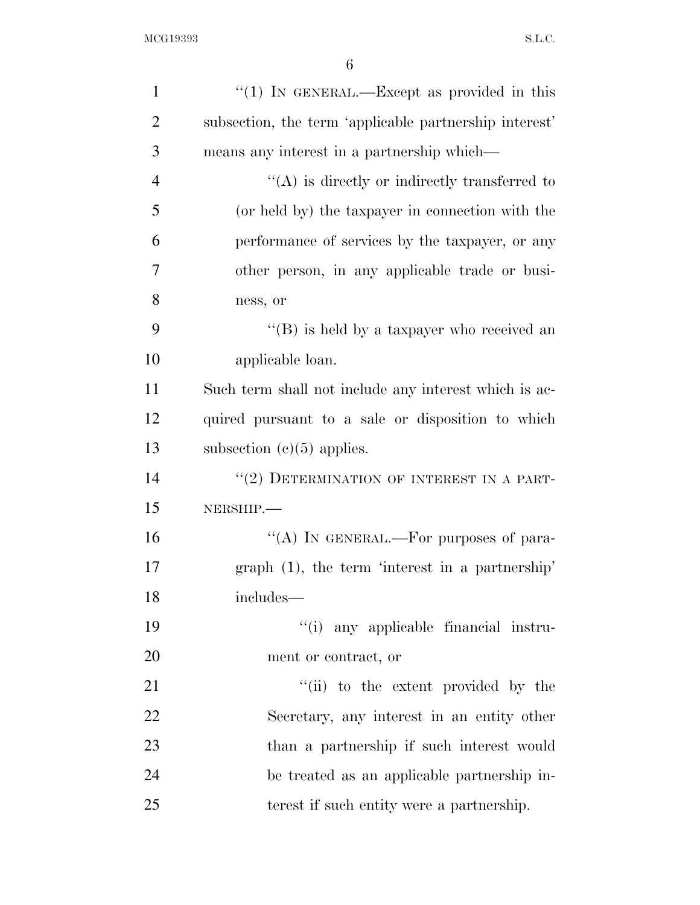| $\mathbf{1}$   | "(1) IN GENERAL.—Except as provided in this            |
|----------------|--------------------------------------------------------|
| $\overline{2}$ | subsection, the term 'applicable partnership interest' |
| 3              | means any interest in a partnership which—             |
| $\overline{4}$ | $\lq\lq$ is directly or indirectly transferred to      |
| 5              | (or held by) the taxpayer in connection with the       |
| 6              | performance of services by the taxpayer, or any        |
| 7              | other person, in any applicable trade or busi-         |
| 8              | ness, or                                               |
| 9              | "(B) is held by a taxpayer who received an             |
| 10             | applicable loan.                                       |
| 11             | Such term shall not include any interest which is ac-  |
| 12             | quired pursuant to a sale or disposition to which      |
| 13             | subsection $(c)(5)$ applies.                           |
| 14             | "(2) DETERMINATION OF INTEREST IN A PART-              |
| 15             | NERSHIP.                                               |
| 16             | "(A) IN GENERAL.—For purposes of para-                 |
| 17             | graph $(1)$ , the term 'interest in a partnership'     |
| 18             | includes—                                              |
| 19             | "(i) any applicable financial instru-                  |
| 20             | ment or contract, or                                   |
| 21             | "(ii) to the extent provided by the                    |
| 22             | Secretary, any interest in an entity other             |
| 23             | than a partnership if such interest would              |
| 24             | be treated as an applicable partnership in-            |
| 25             | terest if such entity were a partnership.              |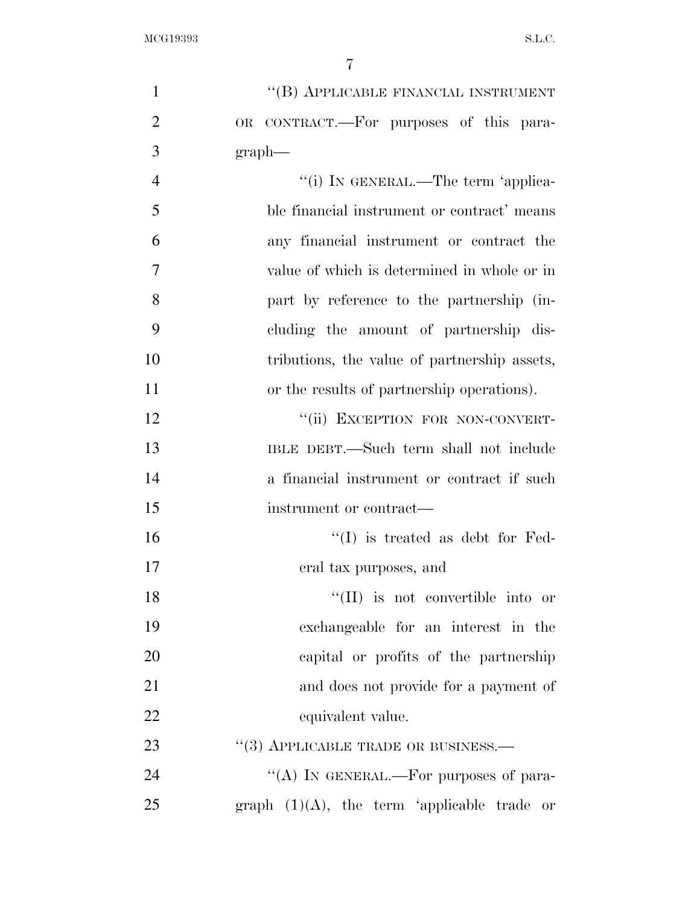| $\mathbf{1}$   | "(B) APPLICABLE FINANCIAL INSTRUMENT           |
|----------------|------------------------------------------------|
| $\overline{2}$ | OR CONTRACT.—For purposes of this para-        |
| 3              | graph                                          |
| $\overline{4}$ | "(i) IN GENERAL.—The term 'applica-            |
| 5              | ble financial instrument or contract' means    |
| 6              | any financial instrument or contract the       |
| 7              | value of which is determined in whole or in    |
| 8              | part by reference to the partnership (in-      |
| 9              | cluding the amount of partnership dis-         |
| 10             | tributions, the value of partnership assets,   |
| 11             | or the results of partnership operations).     |
| 12             | "(ii) EXCEPTION FOR NON-CONVERT-               |
| 13             | IBLE DEBT.—Such term shall not include         |
| 14             | a financial instrument or contract if such     |
| 15             | instrument or contract—                        |
| 16             | $\lq\lq$ is treated as debt for Fed-           |
| 17             | eral tax purposes, and                         |
| 18             | $\lq\lq$ (II) is not convertible into or       |
| 19             | exchangeable for an interest in the            |
| 20             | capital or profits of the partnership          |
| 21             | and does not provide for a payment of          |
| 22             | equivalent value.                              |
| 23             | $``(3)$ APPLICABLE TRADE OR BUSINESS.—         |
| 24             | "(A) IN GENERAL.—For purposes of para-         |
| 25             | graph $(1)(A)$ , the term 'applicable trade or |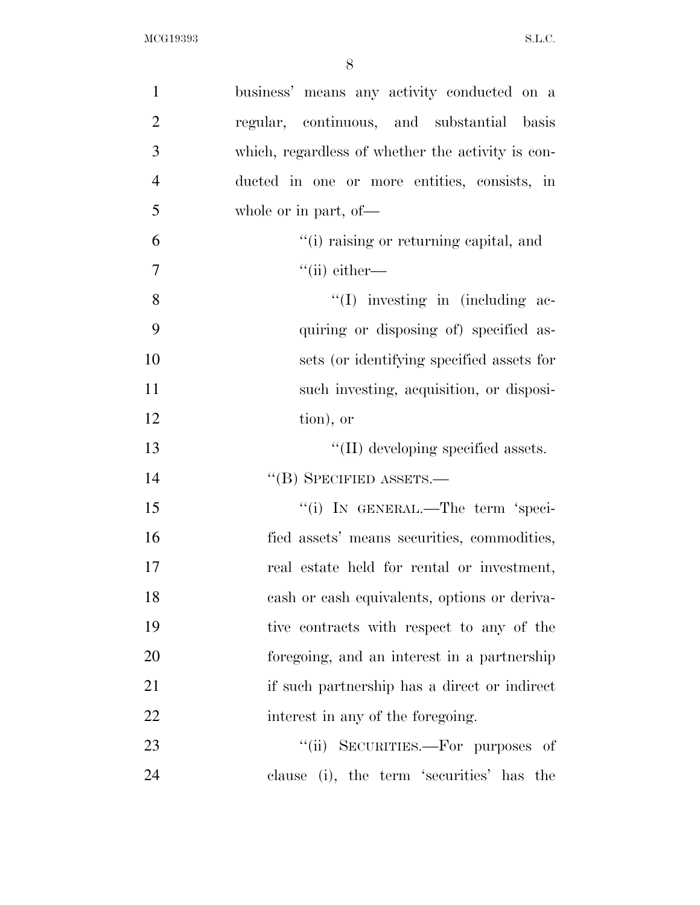| $\mathbf{1}$   | business' means any activity conducted on a       |
|----------------|---------------------------------------------------|
| $\overline{2}$ | regular, continuous, and substantial basis        |
| 3              | which, regardless of whether the activity is con- |
| $\overline{4}$ | ducted in one or more entities, consists, in      |
| 5              | whole or in part, of-                             |
| 6              | "(i) raising or returning capital, and            |
| $\tau$         | $``$ (ii) either—                                 |
| 8              | $\lq\lq$ investing in (including ac-              |
| 9              | quiring or disposing of) specified as-            |
| 10             | sets (or identifying specified assets for         |
| 11             | such investing, acquisition, or disposi-          |
| 12             | tion), or                                         |
| 13             | $\lq\lq$ (II) developing specified assets.        |
| 14             | $\lq\lq$ (B) SPECIFIED ASSETS.—                   |
| 15             | "(i) IN GENERAL.—The term 'speci-                 |
| 16             | fied assets' means securities, commodities,       |
| 17             | real estate held for rental or investment,        |
| 18             | cash or cash equivalents, options or deriva-      |
| 19             | tive contracts with respect to any of the         |
| 20             | foregoing, and an interest in a partnership       |
| 21             | if such partnership has a direct or indirect      |
| 22             | interest in any of the foregoing.                 |
| 23             | "(ii) SECURITIES.—For purposes of                 |
| 24             | clause (i), the term 'securities' has the         |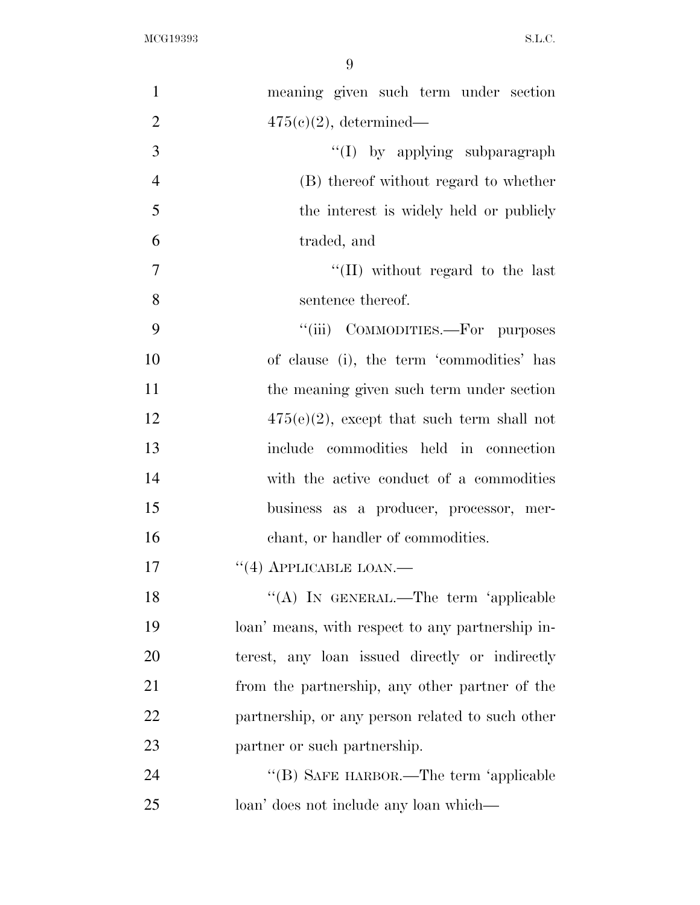| $\mathbf{1}$   | meaning given such term under section            |
|----------------|--------------------------------------------------|
| $\overline{2}$ | $475(e)(2)$ , determined—                        |
| 3              | "(I) by applying subparagraph                    |
| $\overline{4}$ | (B) thereof without regard to whether            |
| 5              | the interest is widely held or publicly          |
| 6              | traded, and                                      |
| $\overline{7}$ | "(II) without regard to the last                 |
| 8              | sentence thereof.                                |
| 9              | "(iii) COMMODITIES.—For purposes                 |
| 10             | of clause (i), the term 'commodities' has        |
| 11             | the meaning given such term under section        |
| 12             | $475(e)(2)$ , except that such term shall not    |
| 13             | include commodities held in connection           |
| 14             | with the active conduct of a commodities         |
| 15             | business as a producer, processor, mer-          |
| 16             | chant, or handler of commodities.                |
| 17             | $``(4)$ APPLICABLE LOAN.—                        |
| 18             | "(A) IN GENERAL.—The term 'applicable            |
| 19             | loan' means, with respect to any partnership in- |
| 20             | terest, any loan issued directly or indirectly   |
| 21             | from the partnership, any other partner of the   |
| 22             | partnership, or any person related to such other |
| 23             | partner or such partnership.                     |
| 24             | "(B) SAFE HARBOR.—The term 'applicable           |
| 25             | loan' does not include any loan which—           |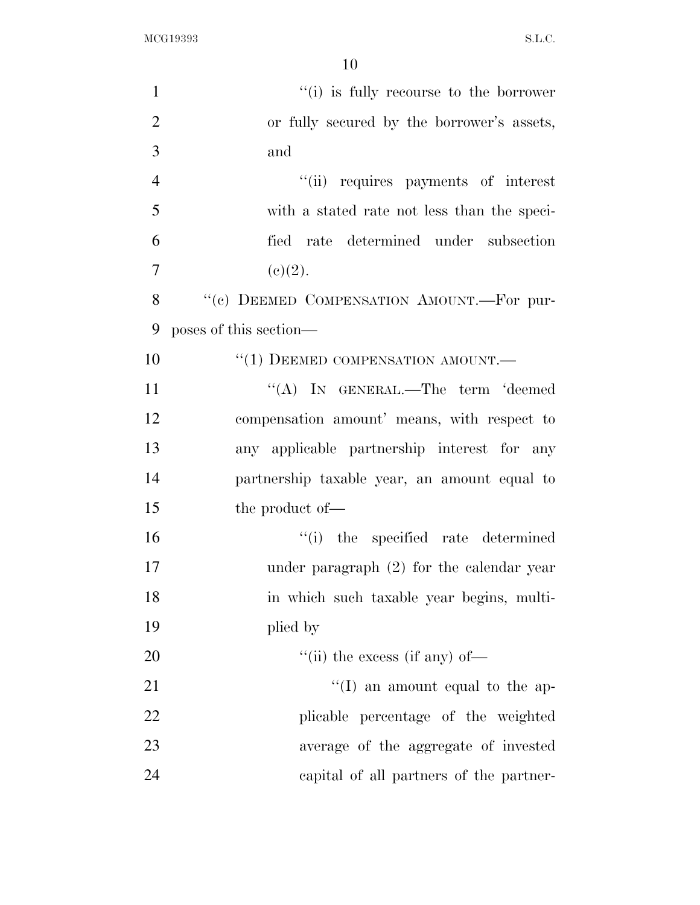| $\mathbf{1}$   | "(i) is fully recourse to the borrower          |
|----------------|-------------------------------------------------|
| $\overline{2}$ | or fully secured by the borrower's assets,      |
| 3              | and                                             |
| $\overline{4}$ | "(ii) requires payments of interest             |
| 5              | with a stated rate not less than the speci-     |
| 6              | fied rate determined under subsection           |
| 7              | (e)(2).                                         |
| 8              | "(c) DEEMED COMPENSATION AMOUNT.-For pur-       |
| 9              | poses of this section—                          |
| 10             | $``(1)$ DEEMED COMPENSATION AMOUNT.—            |
| 11             | "(A) IN GENERAL.—The term 'deemed               |
| 12             | compensation amount' means, with respect to     |
| 13             | any applicable partnership interest for any     |
| 14             | partnership taxable year, an amount equal to    |
| 15             | the product of—                                 |
| 16             | "(i) the specified rate determined              |
| 17             | under paragraph $(2)$ for the calendar year     |
| 18             | in which such taxable year begins, multi-       |
| 19             | plied by                                        |
| 20             | $\lq$ <sup>"</sup> (ii) the excess (if any) of— |
| 21             | $\lq\lq$ (I) an amount equal to the ap-         |
| 22             | plicable percentage of the weighted             |
| 23             | average of the aggregate of invested            |
| 24             | capital of all partners of the partner-         |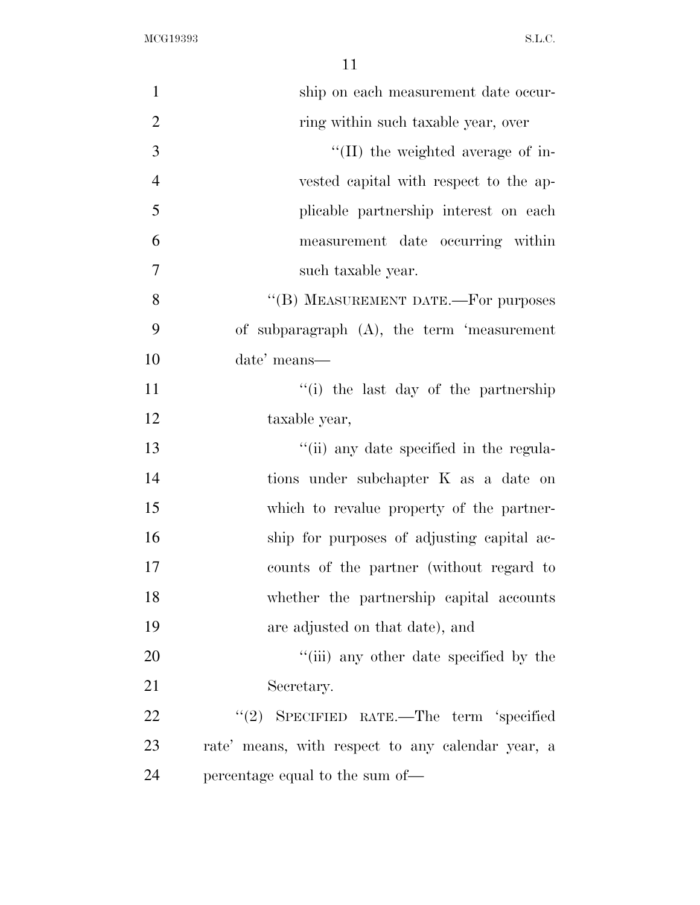| $\mathbf{1}$   | ship on each measurement date occur-              |
|----------------|---------------------------------------------------|
| $\overline{2}$ | ring within such taxable year, over               |
| 3              | $\lq$ (II) the weighted average of in-            |
| $\overline{4}$ | vested capital with respect to the ap-            |
| 5              | plicable partnership interest on each             |
| 6              | measurement date occurring within                 |
| $\overline{7}$ | such taxable year.                                |
| 8              | "(B) MEASUREMENT DATE.—For purposes               |
| 9              | of subparagraph $(A)$ , the term 'measurement     |
| 10             | date' means—                                      |
| 11             | "(i) the last day of the partnership              |
| 12             | taxable year,                                     |
| 13             | "(ii) any date specified in the regula-           |
| 14             | tions under subchapter K as a date on             |
| 15             | which to revalue property of the partner-         |
| 16             | ship for purposes of adjusting capital ac-        |
| 17             | counts of the partner (without regard to          |
| 18             | whether the partnership capital accounts          |
| 19             | are adjusted on that date), and                   |
| 20             | "(iii) any other date specified by the            |
| 21             | Secretary.                                        |
| 22             | "(2) SPECIFIED RATE.—The term 'specified          |
| 23             | rate' means, with respect to any calendar year, a |
| 24             | percentage equal to the sum of—                   |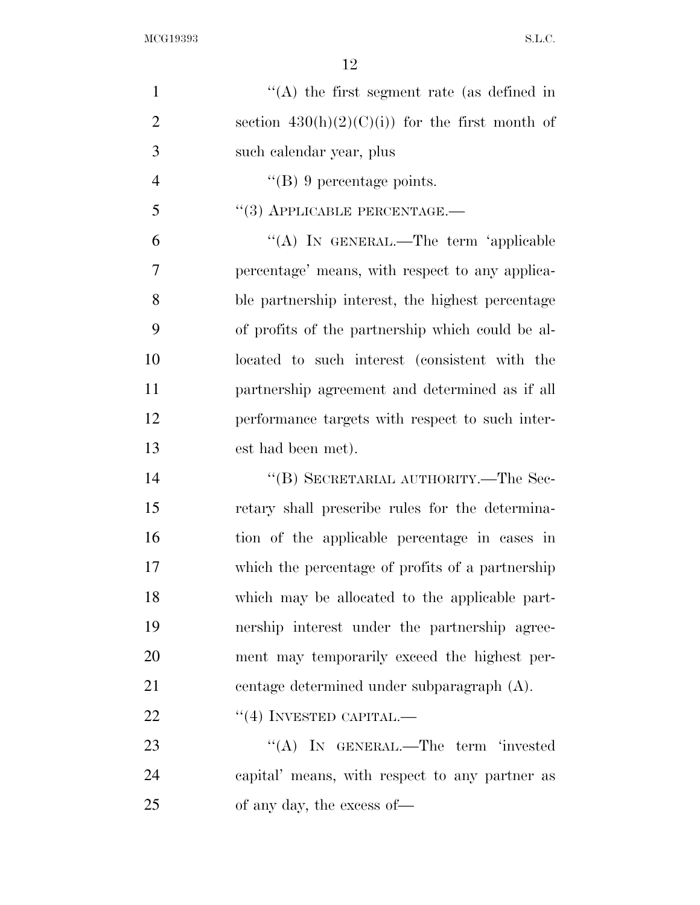| $\mathbf{1}$   | $\lq\lq$ the first segment rate (as defined in   |
|----------------|--------------------------------------------------|
| $\mathbf{2}$   | section $430(h)(2)(C)(i)$ for the first month of |
| 3              | such calendar year, plus                         |
| $\overline{4}$ | $\lq\lq (B)$ 9 percentage points.                |
| 5              | $``(3)$ APPLICABLE PERCENTAGE.—                  |
| 6              | "(A) IN GENERAL.—The term 'applicable            |
| $\overline{7}$ | percentage' means, with respect to any applica-  |
| 8              | ble partnership interest, the highest percentage |
| 9              | of profits of the partnership which could be al- |
| 10             | located to such interest (consistent with the    |
| 11             | partnership agreement and determined as if all   |
| 12             | performance targets with respect to such inter-  |
| 13             | est had been met).                               |
| 14             | "(B) SECRETARIAL AUTHORITY.—The Sec-             |
| 15             | retary shall prescribe rules for the determina-  |
| 16             | tion of the applicable percentage in cases in    |
| 17             | which the percentage of profits of a partnership |
| 18             | which may be allocated to the applicable part-   |
| 19             | nership interest under the partnership agree-    |
| 20             | ment may temporarily exceed the highest per-     |
| 21             | centage determined under subparagraph (A).       |
| 22             | $``(4)$ INVESTED CAPITAL.—                       |
| 23             | "(A) IN GENERAL.—The term 'invested              |
| 24             | capital' means, with respect to any partner as   |
| 25             | of any day, the excess of—                       |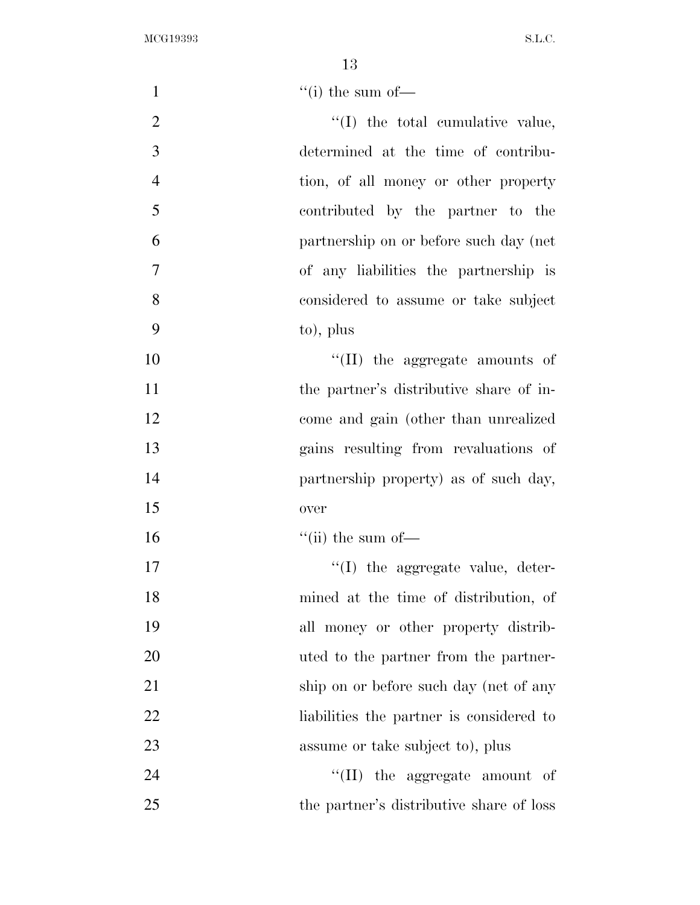| $\mathbf{1}$   | $\lq$ <sup>"</sup> (i) the sum of —      |
|----------------|------------------------------------------|
| $\mathbf{2}$   | "(I) the total cumulative value,         |
| 3              | determined at the time of contribu-      |
| $\overline{4}$ | tion, of all money or other property     |
| 5              | contributed by the partner to the        |
| 6              | partnership on or before such day (net   |
| $\overline{7}$ | of any liabilities the partnership is    |
| 8              | considered to assume or take subject     |
| 9              | to), plus                                |
| 10             | "(II) the aggregate amounts of           |
| 11             | the partner's distributive share of in-  |
| 12             | come and gain (other than unrealized     |
| 13             | gains resulting from revaluations of     |
| 14             | partnership property) as of such day,    |
| 15             | over                                     |
| 16             | $\lq\lq$ (ii) the sum of —               |
| 17             | "(I) the aggregate value, deter-         |
| 18             | mined at the time of distribution, of    |
| 19             | all money or other property distrib-     |
| 20             | uted to the partner from the partner-    |
| 21             | ship on or before such day (net of any   |
| 22             | liabilities the partner is considered to |
| 23             | assume or take subject to), plus         |
| 24             | $\lq\lq$ (II) the aggregate amount of    |
| 25             | the partner's distributive share of loss |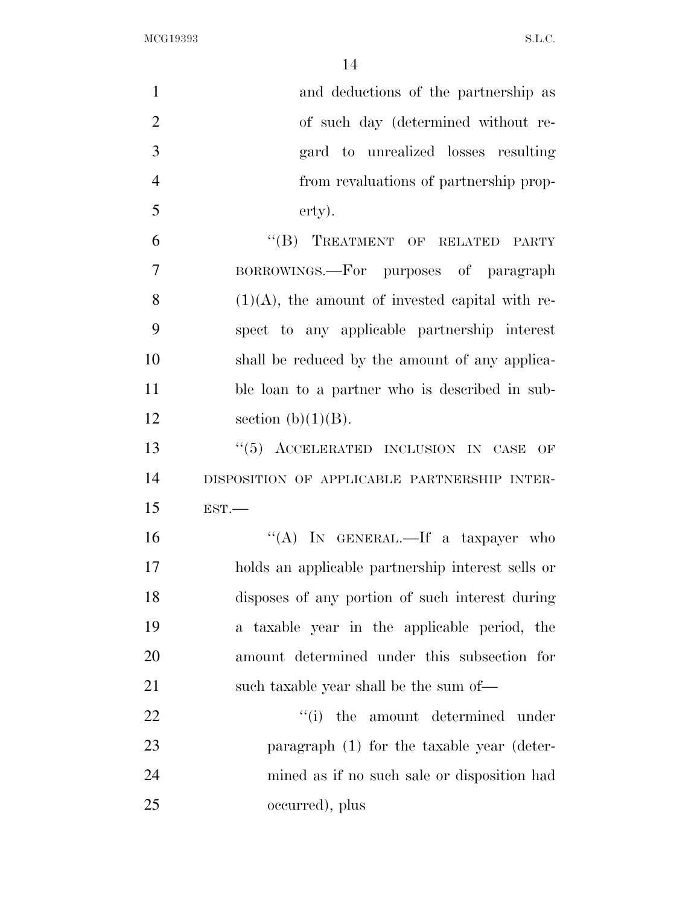| $\mathbf{1}$   | and deductions of the partnership as               |
|----------------|----------------------------------------------------|
| $\overline{2}$ | of such day (determined without re-                |
| 3              | gard to unrealized losses resulting                |
| $\overline{4}$ | from revaluations of partnership prop-             |
| 5              | erty).                                             |
| 6              | "(B) TREATMENT OF RELATED PARTY                    |
| 7              | BORROWINGS.—For purposes of paragraph              |
| 8              | $(1)(A)$ , the amount of invested capital with re- |
| 9              | spect to any applicable partnership interest       |
| 10             | shall be reduced by the amount of any applica-     |
| 11             | ble loan to a partner who is described in sub-     |
| 12             | section $(b)(1)(B)$ .                              |
| 13             | "(5) ACCELERATED INCLUSION IN CASE<br>OF           |
| 14             | DISPOSITION OF APPLICABLE PARTNERSHIP INTER-       |
| 15             | EST.                                               |
| 16             | "(A) IN GENERAL.—If a taxpayer who                 |
| 17             | holds an applicable partnership interest sells or  |
| 18             | disposes of any portion of such interest during    |
| 19             | a taxable year in the applicable period, the       |
| 20             | amount determined under this subsection for        |
| 21             | such taxable year shall be the sum of—             |
| 22             | "(i) the amount determined under                   |
| 23             | paragraph (1) for the taxable year (deter-         |
| 24             | mined as if no such sale or disposition had        |
| 25             | occurred), plus                                    |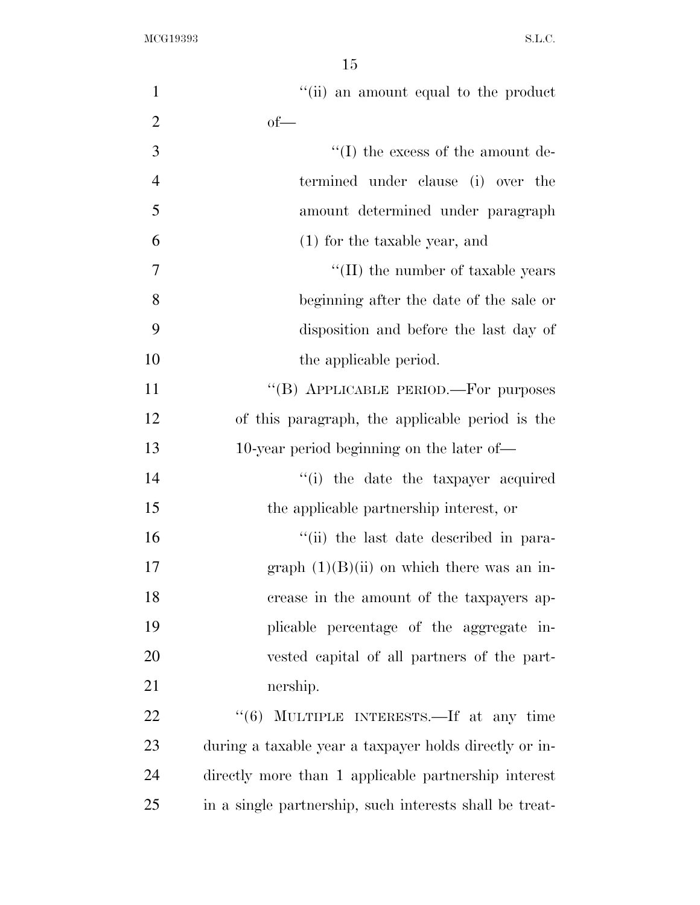| $\mathbf{1}$   | "(ii) an amount equal to the product                    |
|----------------|---------------------------------------------------------|
| $\overline{2}$ | $of$ —                                                  |
| 3              | $\lq\lq$ (I) the excess of the amount de-               |
| $\overline{4}$ | termined under clause (i) over the                      |
| 5              | amount determined under paragraph                       |
| 6              | $(1)$ for the taxable year, and                         |
| 7              | $\lq$ (II) the number of taxable years                  |
| 8              | beginning after the date of the sale or                 |
| 9              | disposition and before the last day of                  |
| 10             | the applicable period.                                  |
| 11             | "(B) APPLICABLE PERIOD.—For purposes                    |
| 12             | of this paragraph, the applicable period is the         |
| 13             | 10-year period beginning on the later of—               |
| 14             | "(i) the date the taxpayer acquired                     |
| 15             | the applicable partnership interest, or                 |
| 16             | "(ii) the last date described in para-                  |
| 17             | graph $(1)(B)(ii)$ on which there was an in-            |
| 18             | crease in the amount of the taxpayers ap-               |
| 19             | plicable percentage of the aggregate in-                |
| 20             | vested capital of all partners of the part-             |
| 21             | nership.                                                |
| 22             | MULTIPLE INTERESTS.—If at any time<br>(6)               |
| 23             | during a taxable year a taxpayer holds directly or in-  |
| 24             | directly more than 1 applicable partnership interest    |
| 25             | in a single partnership, such interests shall be treat- |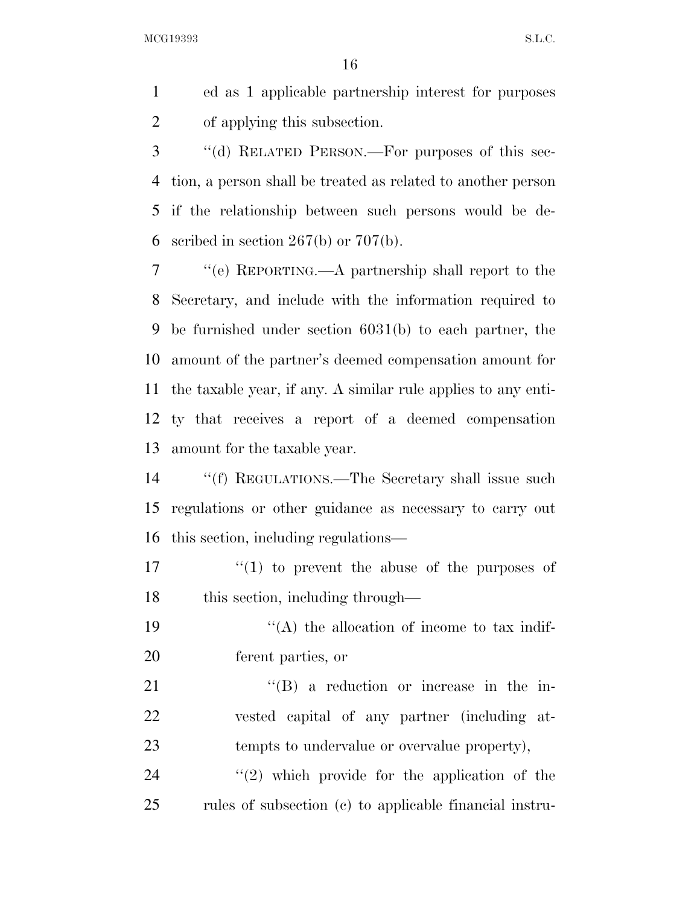ed as 1 applicable partnership interest for purposes of applying this subsection.

 ''(d) RELATED PERSON.—For purposes of this sec- tion, a person shall be treated as related to another person if the relationship between such persons would be de-6 scribed in section  $267(b)$  or  $707(b)$ .

 ''(e) REPORTING.—A partnership shall report to the Secretary, and include with the information required to be furnished under section 6031(b) to each partner, the amount of the partner's deemed compensation amount for the taxable year, if any. A similar rule applies to any enti- ty that receives a report of a deemed compensation amount for the taxable year.

 ''(f) REGULATIONS.—The Secretary shall issue such regulations or other guidance as necessary to carry out this section, including regulations—

 $\mathcal{U}(1)$  to prevent the abuse of the purposes of 18 this section, including through—

19  $\cdot$  ''(A) the allocation of income to tax indif-ferent parties, or

21 ''(B) a reduction or increase in the in- vested capital of any partner (including at-tempts to undervalue or overvalue property),

24  $\frac{1}{2}$   $\frac{1}{2}$  which provide for the application of the rules of subsection (c) to applicable financial instru-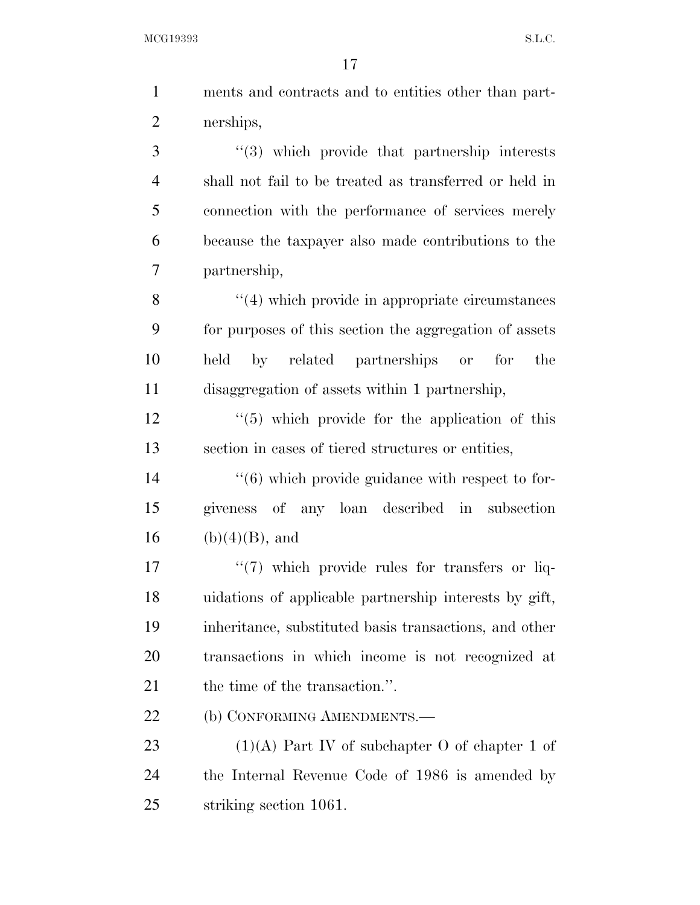| $\mathbf{1}$   | ments and contracts and to entities other than part-             |
|----------------|------------------------------------------------------------------|
| $\overline{2}$ | nerships,                                                        |
| 3              | "(3) which provide that partnership interests                    |
| $\overline{4}$ | shall not fail to be treated as transferred or held in           |
| 5              | connection with the performance of services merely               |
| 6              | because the taxpayer also made contributions to the              |
| 7              | partnership,                                                     |
| 8              | $"$ (4) which provide in appropriate circumstances               |
| 9              | for purposes of this section the aggregation of assets           |
| 10             | by related partnerships or for<br>held<br>the                    |
| 11             | disaggregation of assets within 1 partnership,                   |
| 12             | $\cdot\cdot$ (5) which provide for the application of this       |
| 13             | section in cases of tiered structures or entities,               |
| 14             | $\cdot\cdot\cdot(6)$ which provide guidance with respect to for- |
| 15             | giveness of any loan described in<br>subsection                  |
| 16             | $(b)(4)(B)$ , and                                                |
| 17             | "(7) which provide rules for transfers or liq-                   |
| 18             | uidations of applicable partnership interests by gift,           |
| 19             | inheritance, substituted basis transactions, and other           |
| 20             | transactions in which income is not recognized at                |
| 21             | the time of the transaction.".                                   |
| 22             | (b) CONFORMING AMENDMENTS.—                                      |
| 23             | $(1)(A)$ Part IV of subchapter O of chapter 1 of                 |
| 24             | the Internal Revenue Code of 1986 is amended by                  |

striking section 1061.